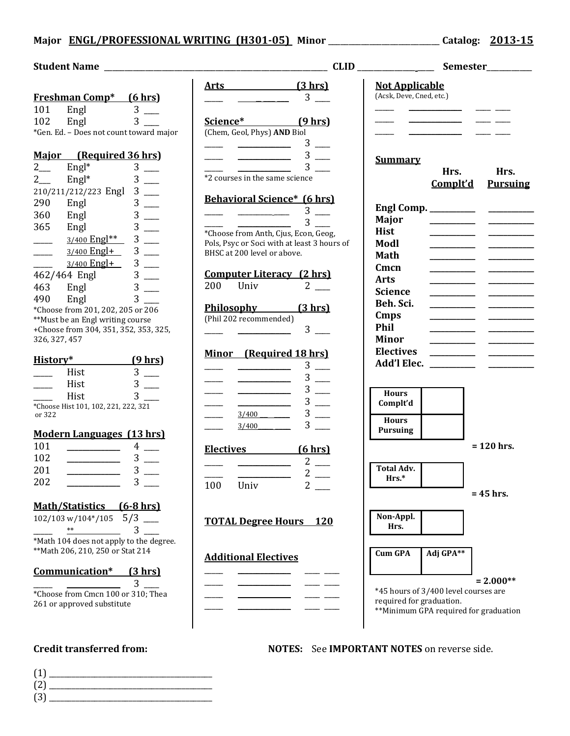## **Major ENGL/PROFESSIONAL WRITING (H301-05) Minor** \_\_\_\_\_\_\_\_\_\_\_\_\_\_\_\_\_\_\_\_\_\_\_\_\_\_\_ **Catalog: 2013-15**

## **Student Name** \_\_\_\_\_\_\_\_\_\_\_\_\_\_\_\_\_\_\_\_\_\_\_\_\_\_\_\_\_\_\_\_\_\_\_\_\_\_\_\_\_\_\_\_\_\_\_\_\_\_\_\_\_\_ **CLID** \_\_\_\_\_\_\_\_\_\_\_\_\_\_ \_\_\_\_ **Semester**\_\_\_\_\_\_\_\_\_\_\_ **Freshman Comp\* (6 hrs)** 101 Engl 3 102 Engl 3 \_\_\_\_ \*Gen. Ed. – Does not count toward major **Major (Required 36 hrs)**  $2 \quad \text{Engl*} \quad 3 \quad \text{---}$  $2 \_$  Engl<sup>\*</sup>  $3 \_$ 210/211/212/223 Engl 3 \_\_\_\_ 290 Engl 3 360 Engl 3 365 Engl 3  $\frac{3/400 \text{ Eng}^{**}}{2}$  3  $\frac{3}{100}$  $3/400$  Engl+  $3$  \_\_\_  $3/400$  Engl+  $3$  \_\_\_ 462/464 Engl 3 \_\_\_ 463 Engl 3 \_\_\_\_ 490 Engl 3 \*Choose from 201, 202, 205 or 206 \*\*Must be an Engl writing course +Choose from 304, 351, 352, 353, 325, 326, 327, 457 **History\* (9 hrs)**  $\frac{1}{3}$  Hist 3 Hist  $3$   $\_\_$ Hist  $\frac{3}{3}$ \*Choose Hist 101, 102, 221, 222, 321 or 322 **Modern Languages (13 hrs)** 101 **\_\_\_\_\_\_\_\_\_\_\_\_\_\_** 4 \_\_\_\_ 102 **\_\_\_\_\_\_\_\_\_\_\_\_\_\_** 3 \_\_\_\_ 201 **\_\_\_\_\_\_\_\_\_\_\_\_\_\_** 3 \_\_\_\_ 202 **\_\_\_\_\_\_\_\_\_\_\_\_\_\_** 3 \_\_\_\_ **Math/Statistics (6-8 hrs)**  $102/103 \text{ w}/104*/105 \quad 5/3 \quad \underline{\hspace{2cm}}$  $**$  3 \*Math 104 does not apply to the degree. \*\*Math 206, 210, 250 or Stat 214 **Communication\* (3 hrs)**  $\frac{3}{2}$ \*Choose from Cmcn 100 or 310; Thea 261 or approved substitute **Arts (3 hrs)**  $\frac{1}{\sqrt{3}}$  3  $\frac{1}{\sqrt{3}}$ **Science\* (9 hrs)** (Chem, Geol, Phys) **AND** Biol  $\frac{1}{\sqrt{3}}$   $\frac{1}{\sqrt{3}}$   $\frac{1}{\sqrt{3}}$   $\frac{1}{\sqrt{3}}$   $\frac{1}{\sqrt{3}}$   $\frac{1}{\sqrt{3}}$   $\frac{1}{\sqrt{3}}$   $\frac{1}{\sqrt{3}}$   $\frac{1}{\sqrt{3}}$   $\frac{1}{\sqrt{3}}$   $\frac{1}{\sqrt{3}}$   $\frac{1}{\sqrt{3}}$   $\frac{1}{\sqrt{3}}$   $\frac{1}{\sqrt{3}}$   $\frac{1}{\sqrt{3}}$   $\frac{1}{\sqrt{3}}$   $\frac{1}{\sqrt{3}}$   $3$  \_\_\_\_\_\_\_  $\frac{3}{2}$ \*2 courses in the same science **Behavioral Science\* (6 hrs)**  $\frac{1}{\sqrt{2\pi}}$   $\frac{1}{\sqrt{2\pi}}$   $\frac{3}{\sqrt{2\pi}}$  $\frac{1}{\sqrt{3}}$   $\frac{1}{\sqrt{3}}$   $\frac{1}{\sqrt{3}}$   $\frac{1}{\sqrt{3}}$   $\frac{1}{\sqrt{3}}$   $\frac{1}{\sqrt{3}}$   $\frac{1}{\sqrt{3}}$   $\frac{1}{\sqrt{3}}$   $\frac{1}{\sqrt{3}}$   $\frac{1}{\sqrt{3}}$   $\frac{1}{\sqrt{3}}$   $\frac{1}{\sqrt{3}}$   $\frac{1}{\sqrt{3}}$   $\frac{1}{\sqrt{3}}$   $\frac{1}{\sqrt{3}}$   $\frac{1}{\sqrt{3}}$   $\frac{1}{\sqrt{3}}$  \*Choose from Anth, Cjus, Econ, Geog, Pols, Psyc or Soci with at least 3 hours of BHSC at 200 level or above. **Computer Literacy (2 hrs)** 200 Univ 2 \_\_\_\_ **Philosophy (3 hrs)** (Phil 202 recommended)  $\frac{1}{\sqrt{2}}$   $\frac{1}{\sqrt{2}}$   $\frac{1}{\sqrt{2}}$   $\frac{1}{\sqrt{2}}$   $\frac{1}{\sqrt{2}}$   $\frac{1}{\sqrt{2}}$   $\frac{1}{\sqrt{2}}$   $\frac{1}{\sqrt{2}}$   $\frac{1}{\sqrt{2}}$   $\frac{1}{\sqrt{2}}$   $\frac{1}{\sqrt{2}}$   $\frac{1}{\sqrt{2}}$   $\frac{1}{\sqrt{2}}$   $\frac{1}{\sqrt{2}}$   $\frac{1}{\sqrt{2}}$   $\frac{1}{\sqrt{2}}$   $\frac{1}{\sqrt{2}}$  **Minor (Required 18 hrs)**  $3$  \_\_\_\_\_\_\_\_  $3$   $\equiv$  $3$  $\frac{3}{2}$  $\frac{3/400}{\ }$  3  $3/400$  3 **Electives (6 hrs)**  $2 \perp$ \_\_\_\_\_ \_\_\_\_\_\_\_\_\_\_\_\_\_\_ 2 \_\_\_\_ 100 Univ 2 \_\_\_\_ **TOTAL Degree Hours 120 Additional Electives** \_\_\_\_\_ \_\_\_\_\_\_\_\_\_\_\_\_\_\_ \_\_\_\_ \_\_\_\_ \_\_\_\_\_ \_\_\_\_\_\_\_\_\_\_\_\_\_\_ \_\_\_\_ \_\_\_\_  $\overline{\phantom{a}}$  ,  $\overline{\phantom{a}}$  ,  $\overline{\phantom{a}}$  ,  $\overline{\phantom{a}}$  ,  $\overline{\phantom{a}}$  ,  $\overline{\phantom{a}}$  ,  $\overline{\phantom{a}}$  ,  $\overline{\phantom{a}}$  ,  $\overline{\phantom{a}}$  ,  $\overline{\phantom{a}}$  ,  $\overline{\phantom{a}}$  ,  $\overline{\phantom{a}}$  ,  $\overline{\phantom{a}}$  ,  $\overline{\phantom{a}}$  ,  $\overline{\phantom{a}}$  ,  $\overline{\phantom{a}}$ \_\_\_\_\_ \_\_\_\_\_\_\_\_\_\_\_\_\_\_ \_\_\_\_ \_\_\_\_ **Not Applicable** (Acsk, Deve, Cned, etc.) \_\_\_\_\_ \_\_\_\_\_\_\_\_\_\_\_\_\_\_ \_\_\_\_ \_\_\_\_ \_\_\_\_\_ \_\_\_\_\_\_\_\_\_\_\_\_\_\_ \_\_\_\_ \_\_\_\_ \_\_\_\_\_ \_\_\_\_\_\_\_\_\_\_\_\_\_\_ \_\_\_\_ \_\_\_\_ **Summary Hrs. Hrs. Complt'd Pursuing Engl Comp. \_\_\_\_\_\_\_\_\_\_\_\_ \_\_\_\_\_\_\_\_\_\_\_\_ Major \_\_\_\_\_\_\_\_\_\_\_\_ \_\_\_\_\_\_\_\_\_\_\_\_ Hist \_\_\_\_\_\_\_\_\_\_\_\_ \_\_\_\_\_\_\_\_\_\_\_\_ Modl \_\_\_\_\_\_\_\_\_\_\_\_ \_\_\_\_\_\_\_\_\_\_\_\_ Math \_\_\_\_\_\_\_\_\_\_\_\_ \_\_\_\_\_\_\_\_\_\_\_\_ Cmcn \_\_\_\_\_\_\_\_\_\_\_\_ \_\_\_\_\_\_\_\_\_\_\_\_ Arts \_\_\_\_\_\_\_\_\_\_\_\_ \_\_\_\_\_\_\_\_\_\_\_\_ Science \_\_\_\_\_\_\_\_\_\_\_\_ \_\_\_\_\_\_\_\_\_\_\_\_ Beh. Sci. \_\_\_\_\_\_\_\_\_\_\_\_ \_\_\_\_\_\_\_\_\_\_\_\_ Cmps \_\_\_\_\_\_\_\_\_\_\_\_ \_\_\_\_\_\_\_\_\_\_\_\_ Phil \_\_\_\_\_\_\_\_\_\_\_\_ \_\_\_\_\_\_\_\_\_\_\_\_ Minor \_\_\_\_\_\_\_\_\_\_\_\_ \_\_\_\_\_\_\_\_\_\_\_\_ Electives \_\_\_\_\_\_\_\_\_\_\_\_ \_\_\_\_\_\_\_\_\_\_\_\_ Add'l Elec. \_\_\_\_\_\_\_\_\_\_\_\_ \_\_\_\_\_\_\_\_\_\_\_\_ Hours Complt'd Hours Pursuing = 120 hrs. Total Adv. Hrs.\* = 45 hrs. Non-Appl. Hrs. Cum GPA Adj GPA\*\* = 2.000\*\*** \*45 hours of 3/400 level courses are required for graduation. \*\*Minimum GPA required for graduation

## **Credit transferred from: NOTES:** See **IMPORTANT NOTES** on reverse side.

- (1) \_\_\_\_\_\_\_\_\_\_\_\_\_\_\_\_\_\_\_\_\_\_\_\_\_\_\_\_\_\_\_\_\_\_\_\_\_\_\_\_\_\_\_ (2) \_\_\_\_\_\_\_\_\_\_\_\_\_\_\_\_\_\_\_\_\_\_\_\_\_\_\_\_\_\_\_\_\_\_\_\_\_\_\_\_\_\_\_
- $(3)$